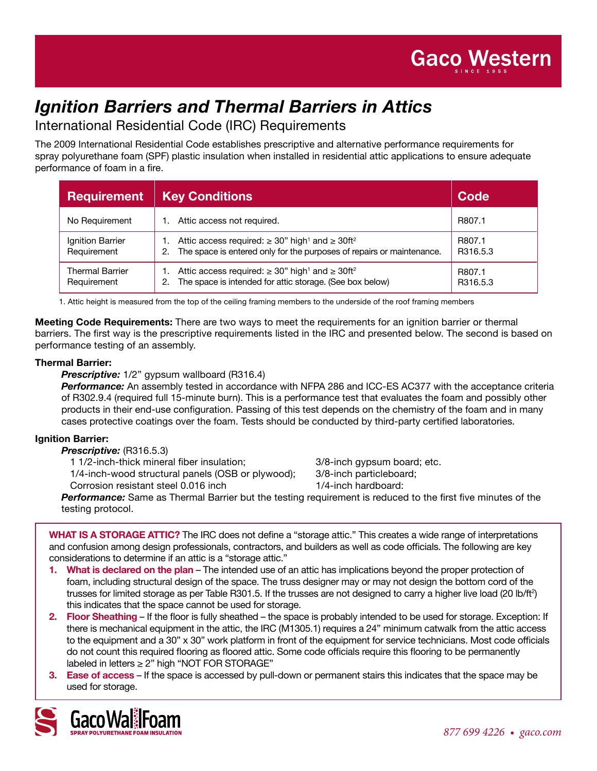

# *Ignition Barriers and Thermal Barriers in Attics*

International Residential Code (IRC) Requirements

The 2009 International Residential Code establishes prescriptive and alternative performance requirements for spray polyurethane foam (SPF) plastic insulation when installed in residential attic applications to ensure adequate performance of foam in a fire.

| <b>Requirement</b>                    | <b>Key Conditions</b>                                                                                                                                             | Code               |
|---------------------------------------|-------------------------------------------------------------------------------------------------------------------------------------------------------------------|--------------------|
| No Requirement                        | Attic access not required.                                                                                                                                        | R807.1             |
| Ignition Barrier<br>Requirement       | Attic access required: $\geq 30$ " high <sup>1</sup> and $\geq 30$ ft <sup>2</sup><br>The space is entered only for the purposes of repairs or maintenance.<br>2. | R807.1<br>R316.5.3 |
| <b>Thermal Barrier</b><br>Requirement | Attic access required: $\geq 30$ " high <sup>1</sup> and $\geq 30$ ft <sup>2</sup><br>The space is intended for attic storage. (See box below)<br>2.              | R807.1<br>R316.5.3 |

1. Attic height is measured from the top of the ceiling framing members to the underside of the roof framing members

**Meeting Code Requirements:** There are two ways to meet the requirements for an ignition barrier or thermal barriers. The first way is the prescriptive requirements listed in the IRC and presented below. The second is based on performance testing of an assembly.

#### **Thermal Barrier:**

#### *Prescriptive:* 1/2" gypsum wallboard (R316.4)

**Performance:** An assembly tested in accordance with NFPA 286 and ICC-ES AC377 with the acceptance criteria of R302.9.4 (required full 15-minute burn). This is a performance test that evaluates the foam and possibly other products in their end-use configuration. Passing of this test depends on the chemistry of the foam and in many cases protective coatings over the foam. Tests should be conducted by third-party certified laboratories.

### **Ignition Barrier:**

*Prescriptive:* (R316.5.3)

1 1/2-inch-thick mineral fiber insulation; 3/8-inch gypsum board; etc.

1/4-inch-wood structural panels (OSB or plywood); 3/8-inch particleboard;

Corrosion resistant steel 0.016 inch 1/4-inch hardboard:

*Performance:* Same as Thermal Barrier but the testing requirement is reduced to the first five minutes of the testing protocol.

**What is a storage attic?** The IRC does not define a "storage attic." This creates a wide range of interpretations and confusion among design professionals, contractors, and builders as well as code officials. The following are key considerations to determine if an attic is a "storage attic."

- **1. What is declared on the plan** The intended use of an attic has implications beyond the proper protection of foam, including structural design of the space. The truss designer may or may not design the bottom cord of the trusses for limited storage as per Table R301.5. If the trusses are not designed to carry a higher live load (20 lb/ft²) this indicates that the space cannot be used for storage.
- **2. Floor Sheathing** If the floor is fully sheathed the space is probably intended to be used for storage. Exception: If there is mechanical equipment in the attic, the IRC (M1305.1) requires a 24" minimum catwalk from the attic access to the equipment and a 30" x 30" work platform in front of the equipment for service technicians. Most code officials do not count this required flooring as floored attic. Some code officials require this flooring to be permanently labeled in letters ≥ 2" high "NOT FOR STORAGE"
- **3. Ease of access** If the space is accessed by pull-down or permanent stairs this indicates that the space may be used for storage.